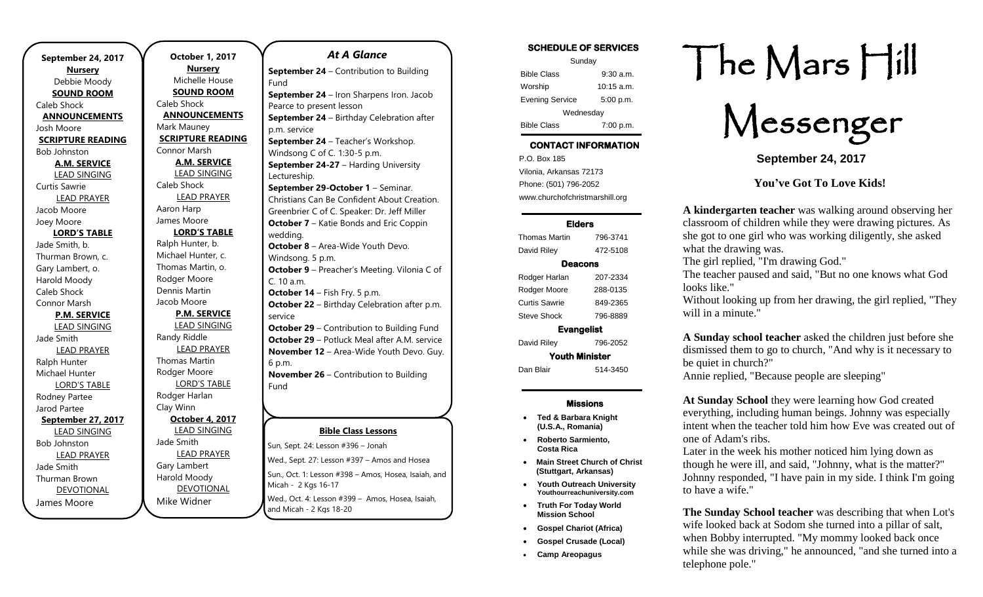| September 24, 2017        |           |
|---------------------------|-----------|
| <b>Nursery</b>            |           |
| Debbie Moody              |           |
| <b>SOUND ROOM</b>         |           |
| Caleb Shock               | Cale      |
| <b>ANNOUNCEMENTS</b>      | Al        |
| Josh Moore                | Maı       |
| <b>SCRIPTURE READING</b>  | <u>sc</u> |
| <b>Bob Johnston</b>       | Cor       |
| A.M. SERVICE              |           |
| <b>LEAD SINGING</b>       |           |
| <b>Curtis Sawrie</b>      | Cale      |
| <b>LEAD PRAYER</b>        |           |
| Jacob Moore               | Aar       |
| Joey Moore                | Jam       |
| <b>LORD'S TABLE</b>       |           |
| Jade Smith, b.            | Ralp      |
| Thurman Brown, c.         | Mic       |
| Gary Lambert, o.          | Tho       |
| Harold Moody              | Roc       |
| Caleb Shock               | Der       |
| Connor Marsh              | Jaco      |
| <b>P.M. SERVICE</b>       |           |
| <b>LEAD SINGING</b>       |           |
| Jade Smith                | Ran       |
| <b>LEAD PRAYER</b>        |           |
| Ralph Hunter              | Tho       |
| Michael Hunter            | Roc       |
| <b>LORD'S TABLE</b>       |           |
| Rodney Partee             | Roc       |
| Jarod Partee              | Clay      |
| <u>September 27, 2017</u> |           |
| <b>LEAD SINGING</b>       |           |
| <b>Bob Johnston</b>       | Jad       |
| <b>LEAD PRAYER</b>        |           |
| Jade Smith                | Gar       |
| <b>Thurman Brown</b>      | Har       |
| <b>DEVOTIONAL</b>         |           |
| James Moore               | Mik       |

.

**October 1, 2017 Nursery** Michelle House **SOUND ROOM** eb Shock **ANNOUNCEMENTS** rk Mauney **RIPTURE READING** nor Marsh **A.M. SERVICE** LEAD SINGING eb Shock LEAD PRAYER on Harp າes Moore **LORD'S TABLE** ph Hunter, b. hael Hunter, c. Thomas Martin, o. dger Moore hnis Martin ob Moore **P.M. SERVICE** LEAD SINGING dy Riddle LEAD PRAYER omas Martin dger Moore LORD'S TABLE dger Harlan Clay Winn **October 4, 2017** LEAD SINGING e Smith LEAD PRAYER v Lambert old Moody DEVOTIONAL ke Widner Fund Fund

### *At A Glance*  **September 24** – Contribution to Building **September 24** – Iron Sharpens Iron. Jacob Pearce to present lesson **September 24** – Birthday Celebration after p.m. service **September 24** – Teacher's Workshop. Windsong C of C. 1:30-5 p.m. **September 24-27 - Harding University** Lectureship. **September 29-October 1** – Seminar. Christians Can Be Confident About Creation. Greenbrier C of C. Speaker: Dr. Jeff Miller **October 7** – Katie Bonds and Eric Coppin wedding. **October 8** – Area-Wide Youth Devo. Windsong. 5 p.m. **October 9** – Preacher's Meeting. Vilonia C of C. 10 a.m. **October 14** – Fish Fry. 5 p.m. **October 22** – Birthday Celebration after p.m. service **October 29** – Contribution to Building Fund **October 29** – Potluck Meal after A.M. service **November 12** – Area-Wide Youth Devo. Guy. 6 p.m. **November 26** – Contribution to Building **December 10** – Area-Wide Youth Devo.

#### **Bible Class Lessons**

Sun, Sept. 24: Lesson #396 – Jonah Wed., Sept. 27: Lesson #397 – Amos and Hosea Sun., Oct. 1: Lesson #398 – Amos, Hosea, Isaiah, and Fund Micah - 2 Kgs 16-17

whearn a rige to the<br>Wed., Oct. 4: Lesson #399 – Amos, Hosea, Isaiah, and Micah - 2 Kgs 18-20  $\frac{1}{2}$  Downtown Morrison.  $\frac{1}{2}$  p.m.

#### SCHEDULE OF SERVICES Sunday Bible Class 9:30 a.m. Worship 10:15 a.m. Evening Service 5:00 p.m.

Wednesday Bible Class 7:00 p.m.

## CONTACT INFORMATION

. .o. Box 166<br>Vilonia, Arkansas 72173 P.O. Box 185 Phone: (501) 796-2052 www.churchofchristmarshill.org

#### Elders

| <b>Thomas Martin</b> | 796-3741 |  |
|----------------------|----------|--|
| David Riley          | 472-5108 |  |
| Deacons              |          |  |
| Rodger Harlan        | 207-2334 |  |
| Rodger Moore         | 288-0135 |  |
| Curtis Sawrie        | 849-2365 |  |
| Steve Shock          | 796-8889 |  |
| <b>Evangelist</b>    |          |  |
| David Riley          | 796-2052 |  |
| Youth Minister       |          |  |
| Dan Blair            | 514-3450 |  |

#### Missions

- **Ted & Barbara Knight (U.S.A., Romania)**
- **Roberto Sarmiento, Costa Rica**
- **Main Street Church of Christ (Stuttgart, Arkansas)**
- **Youth Outreach University Youthourreachuniversity.com**
- **Truth For Today World Mission School**
- **Gospel Chariot (Africa)**
- **Gospel Crusade (Local)**
- **Camp Areopagus**

# The Mars Hill

Messenger

**September 24, 2017**

**You've Got To Love Kids!**

**A kindergarten teacher** was walking around observing her classroom of children while they were drawing pictures. As she got to one girl who was working diligently, she asked what the drawing was.

The girl replied, "I'm drawing God."

The teacher paused and said, "But no one knows what God looks like."

Without looking up from her drawing, the girl replied, "They will in a minute."

**A Sunday school teacher** asked the children just before she dismissed them to go to church, "And why is it necessary to be quiet in church?"

Annie replied, "Because people are sleeping"

**At Sunday School** they were learning how God created everything, including human beings. Johnny was especially intent when the teacher told him how Eve was created out of one of Adam's ribs.

Later in the week his mother noticed him lying down as though he were ill, and said, "Johnny, what is the matter?" Johnny responded, "I have pain in my side. I think I'm going to have a wife."

**The Sunday School teacher** was describing that when Lot's wife looked back at Sodom she turned into a pillar of salt, when Bobby interrupted. "My mommy looked back once while she was driving," he announced, "and she turned into a telephone pole."